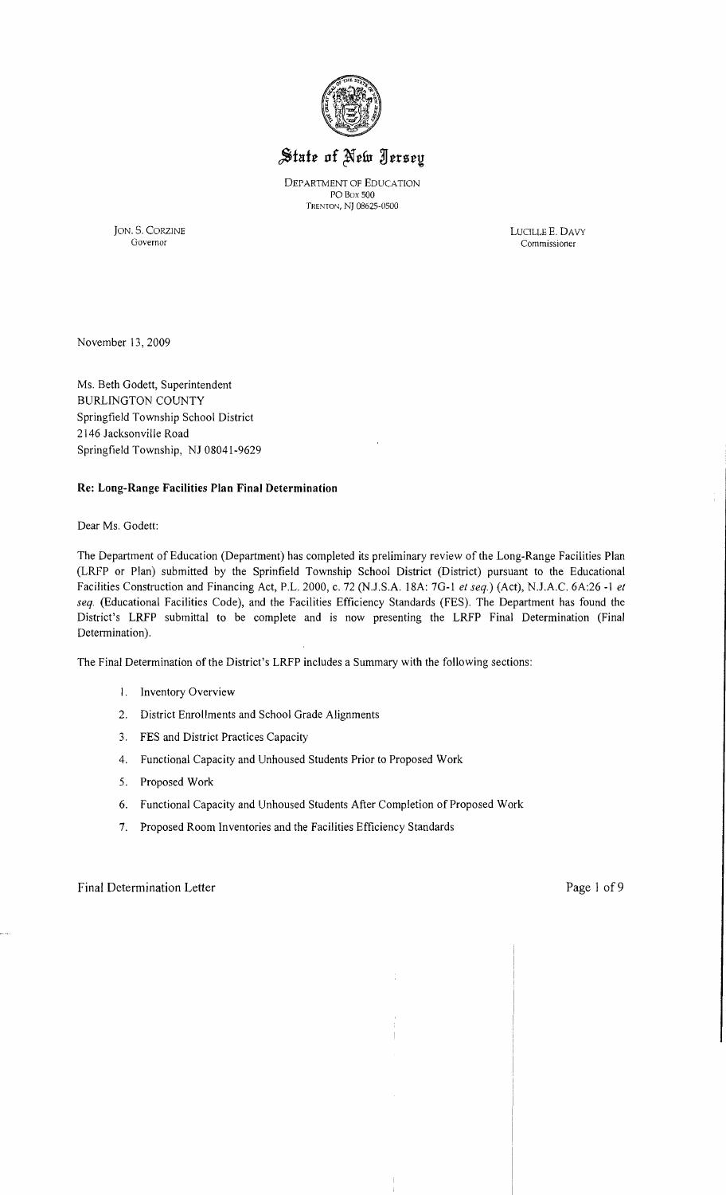

# State of New Jersey

DEPARTMENT OF EDUCATION POBox 500 TRENTON, NJ 08625-0500

JON. S. CORZINE LUCILLE E. DAVY Commissioner

November 13,2009

Ms. Beth Godett, Superintendent BURLINGTON COUNTY Springfield Township School District 2146 Jacksonville Road Springfield Township, NJ 08041-9629

## **Re: Long-Range Facilities Plan Final Determination**

Dear Ms. Godett:

The Department of Education (Department) has completed its preliminary review of the Long-Range Facilities Plan (LRFP or Plan) submitted by the Sprinfield Township School District (District) pursuant to the Educational Facilities Construction and Financing Act, P.L. 2000, c. 72 (N.J.S.A. 18A: 7G-1 *et seq.)* (Act), NJ.A.C. 6A:26 -1 *et seq.* (Educational Facilities Code), and the Facilities Efficiency Standards (FES). The Department has found the District's LRFP submittal to be complete and is now presenting the LRFP Final Determination (Final Determination).

The Final Determination of the District's LRFP includes a Summary with the following sections:

- 1. Inventory Overview
- 2. District Enrollments and School Grade Alignments
- 3. FES and District Practices Capacity
- 4. Functional Capacity and Unhoused Students Prior to Proposed Work
- 5. Proposed Work
- 6. Functional Capacity and Unhoused Students After Completion of Proposed Work
- 7. Proposed Room Inventories and the Facilities Efficiency Standards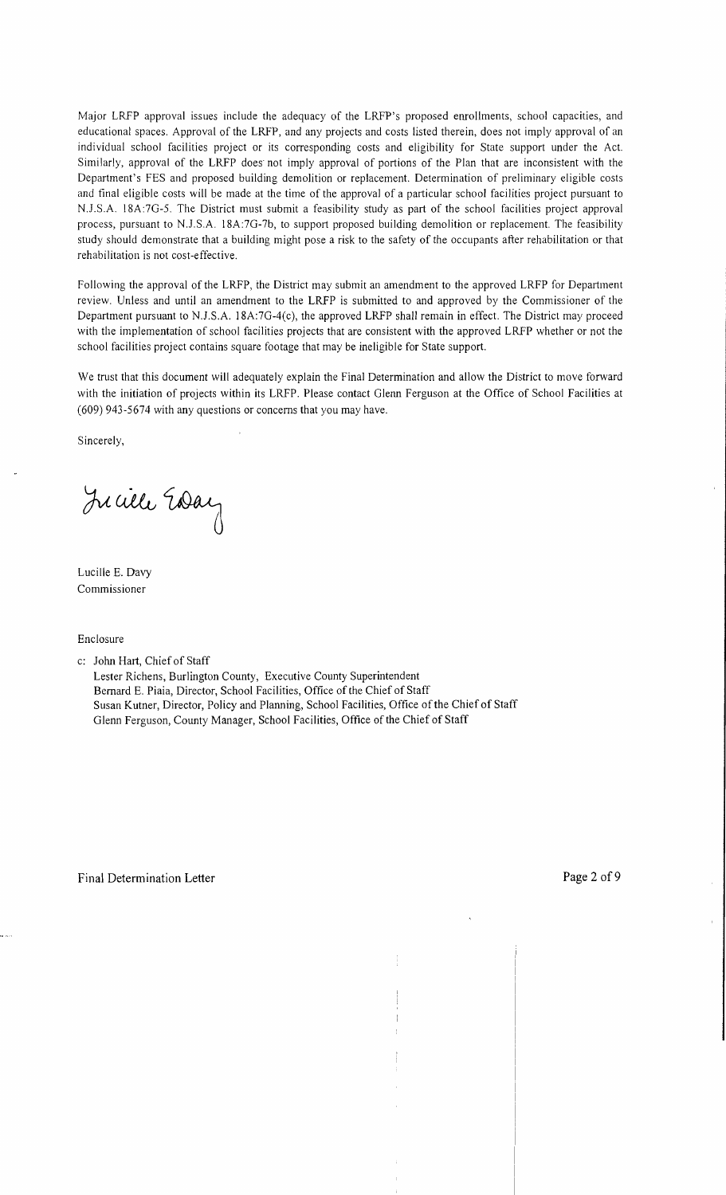Major LRFP approval issues include the adequacy of the LRFP's proposed enrollments, school capacities, and educational spaces. Approval of the LRFP, and any projects and costs listed therein, does not imply approval of an individual school facilities project or its corresponding costs and eligibility for State support under the Act. Similarly, approval of the LRFP does not imply approval of portions of the Plan that are inconsistent with the Department's FES and proposed building demolition or replacement. Determination of preliminary eligible costs and final eligible costs will be made at the time of the approval of a particular school facilities project pursuant to *N.J.S.A.* 18A:7G-5. The District must submit a feasibility study as part of the school facilities project approval process, pursuant to N*.l.S.A.* 18A:7G-7b, to support proposed building demolition or replacement. The feasibility study should demonstrate that a building might pose a risk to the safety of the occupants after rehabilitation or that rehabilitation is not cost-effective.

Following the approval of the LRFP, the District may submit an amendment to the approved LRFP for Department review. Unless and until an amendment to the LRFP is submitted to and approved by the Commissioner of the Department pursuant to N.l.S.A. 18A:7G-4(c), the approved LRFP shall remain in effect. The District may proceed with the implementation of school facilities projects that are consistent with the approved LRFP whether or not the school facilities project contains square footage that may be ineligible for State support.

We trust that this document will adequately explain the Final Determination and allow the District to move forward with the initiation of projects within its LRFP. Please contact Glenn Ferguson at the Office of School Facilities at (609) 943-5674 with any questions or concerns that you may have.

Sincerely,

Jucille Essay

Lucille E. Davy Commissioner

Enclosure

c: John Hart, Chief of Staff

Lester Richens, Burlington County, Executive County Superintendent Bernard E. Piaia, Director, School Facilities, Office of the Chief of Staff Susan Kutner, Director, Policy and Planning, School Facilities, Office of the Chief of Staff Glenn Ferguson, County Manager, School Facilities, Office of the Chief of Staff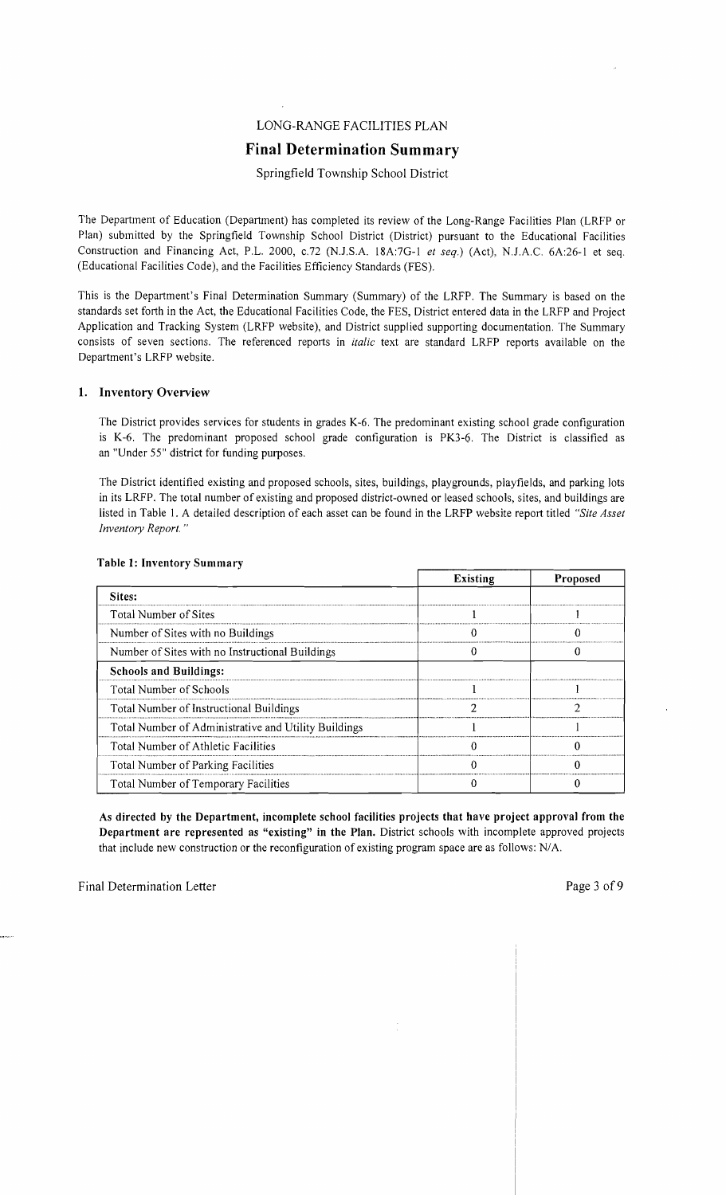## LONG-RANGE FACILITIES PLAN

## **Final Determination Summary**

## Springfield Township School District

The Department of Education (Department) has completed its review of the Long-Range Facilities Plan (LRFP or Plan) submitted by the Springfield Township School District (District) pursuant to the Educational Facilities Construction and Financing Act, P.L. 2000, *c.72* (N.J.S.A. 18A:7G-1 *et seq.*) (Act), N.J.A.C. 6A:26-1 et seq. (Educational Facilities Code), and the Facilities Efficiency Standards (FES).

This is the Department's Final Determination Summary (Summary) of the LRFP. The Summary is based on the standards set forth in the Act, the Educational Facilities Code, the FES, District entered data in the LRFP and Project Application and Tracking System (LRFP website), and District supplied supporting documentation. The Summary consists of seven sections. The referenced reports in *italic* text are standard LRFP reports available on the Department's LRFP website.

## 1. Inventory Overview

The District provides services for students in grades K-6. The predominant existing school grade configuration is K-6. The predominant proposed school grade configuration is PK3-6. The District is classified as an "Under 55" district for funding purposes.

The District identified existing and proposed schools, sites, buildings, playgrounds, playfields, and parking lots in its LRFP. The total number of existing and proposed district-owned or leased schools, sites, and buildings are listed in Table 1. A detailed description of each asset can be found in the LRFP website report titled *"Site Asset Inventory Report."* 

|                                                      | <b>Existing</b> | <b>Proposed</b> |
|------------------------------------------------------|-----------------|-----------------|
| Sites:                                               |                 |                 |
| Total Number of Sites                                |                 |                 |
| Number of Sites with no Buildings                    |                 |                 |
| Number of Sites with no Instructional Buildings      |                 |                 |
| <b>Schools and Buildings:</b>                        |                 |                 |
| <b>Total Number of Schools</b>                       |                 |                 |
| Total Number of Instructional Buildings              |                 |                 |
| Total Number of Administrative and Utility Buildings |                 |                 |
| Total Number of Athletic Facilities                  |                 |                 |
| Total Number of Parking Facilities                   |                 |                 |
| Total Number of Temporary Facilities                 |                 |                 |

## Table l' Inventory Summary

As directed by the Department, incomplete school facilities projects that have project approval from the Department are represented as "existing" in the Plan. District schools with incomplete approved projects that include new construction or the reconfiguration of existing program space are as follows: N/A.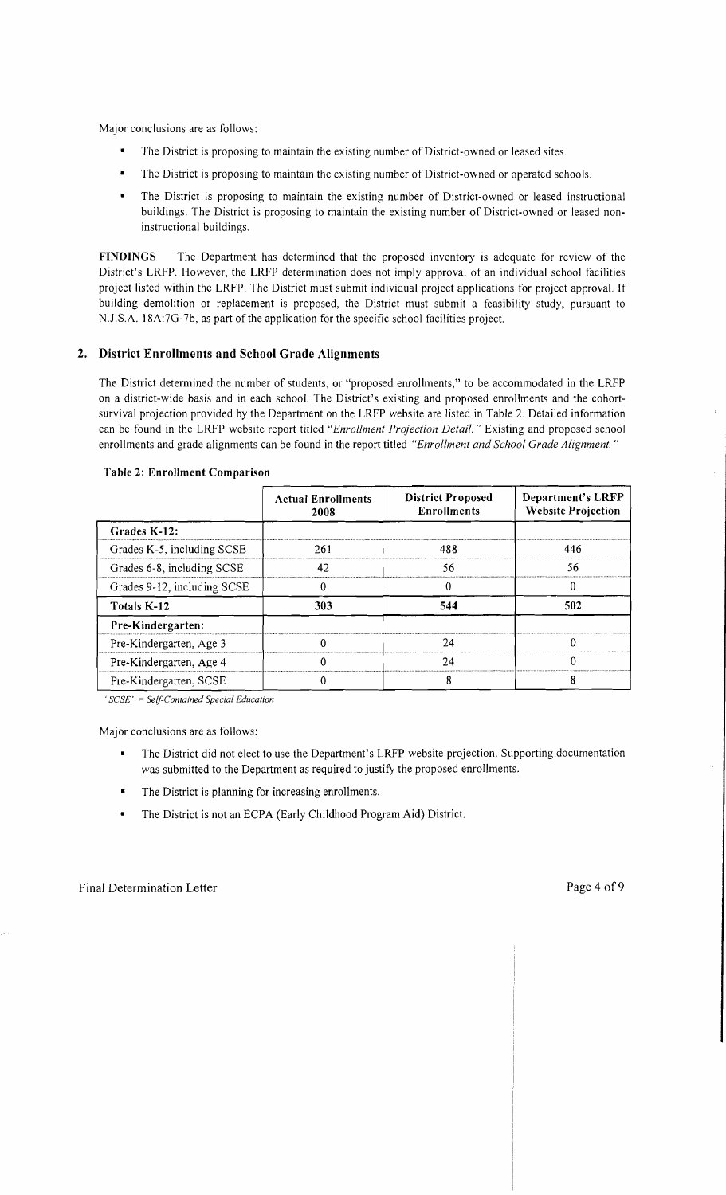Major conclusions are as follows:

- The District is proposing to maintain the existing number of District-owned or leased sites.
- The District is proposing to maintain the existing number of District-owned or operated schools.
- The District is proposing to maintain the existing number of District-owned or leased instructional buildings. The District is proposing to maintain the existing number of District-owned or leased noninstructional buildings.

FINDINGS The Department has determined that the proposed inventory is adequate for review of the District's LRFP. However, the LRFP determination does not imply approval of an individual school facilities project listed within the LRFP. The District must submit individual project applications for project approval. If building demolition or replacement is proposed, the District must submit a feasibility study, pursuant to N.J.S.A. 18A:7G-7b, as part of the application for the specific school facilities project.

## 2. District Enrollments and School Grade Alignments

The District determined the number of students, or "proposed enrollments," to be accommodated in the LRFP on a district-wide basis and in each school. The District's existing and proposed enrollments and the cohortsurvival projection provided by the Department on the LRFP website are listed in Table 2. Detailed information can be found in the LRFP website report titled *"Enrollment Projection Detail.* " Existing and proposed school enrollments and grade alignments can be found in the report titled *"Enrollment and School Grade Alignment. "* 

|                             | <b>Actual Enrollments</b><br>2008 | <b>District Proposed</b><br><b>Enrollments</b> | Department's LRFP<br><b>Website Projection</b> |  |
|-----------------------------|-----------------------------------|------------------------------------------------|------------------------------------------------|--|
| Grades K-12:                |                                   |                                                |                                                |  |
| Grades K-5, including SCSE  | 261                               | 488                                            | 446                                            |  |
| Grades 6-8, including SCSE  | 42                                | 56                                             | 56                                             |  |
| Grades 9-12, including SCSE |                                   |                                                | $\Omega$                                       |  |
| <b>Totals K-12</b>          | 303                               | 544                                            | 502                                            |  |
| Pre-Kindergarten:           |                                   |                                                |                                                |  |
| Pre-Kindergarten, Age 3     |                                   | 24                                             |                                                |  |
| Pre-Kindergarten, Age 4     |                                   | 24                                             |                                                |  |
| Pre-Kindergarten, SCSE      |                                   |                                                |                                                |  |

#### Table 2: Enrollment Comparison

*"SCSE"* = *Self-Contained Special Education* 

Major conclusions are as follows:

- The District did not elect to use the Department's LRFP website projection. Supporting documentation  $\blacksquare$ was submitted to the Department as required to justify the proposed enrollments.
- The District is planning for increasing enrollments.
- The District is not an ECPA (Early Childhood Program Aid) District.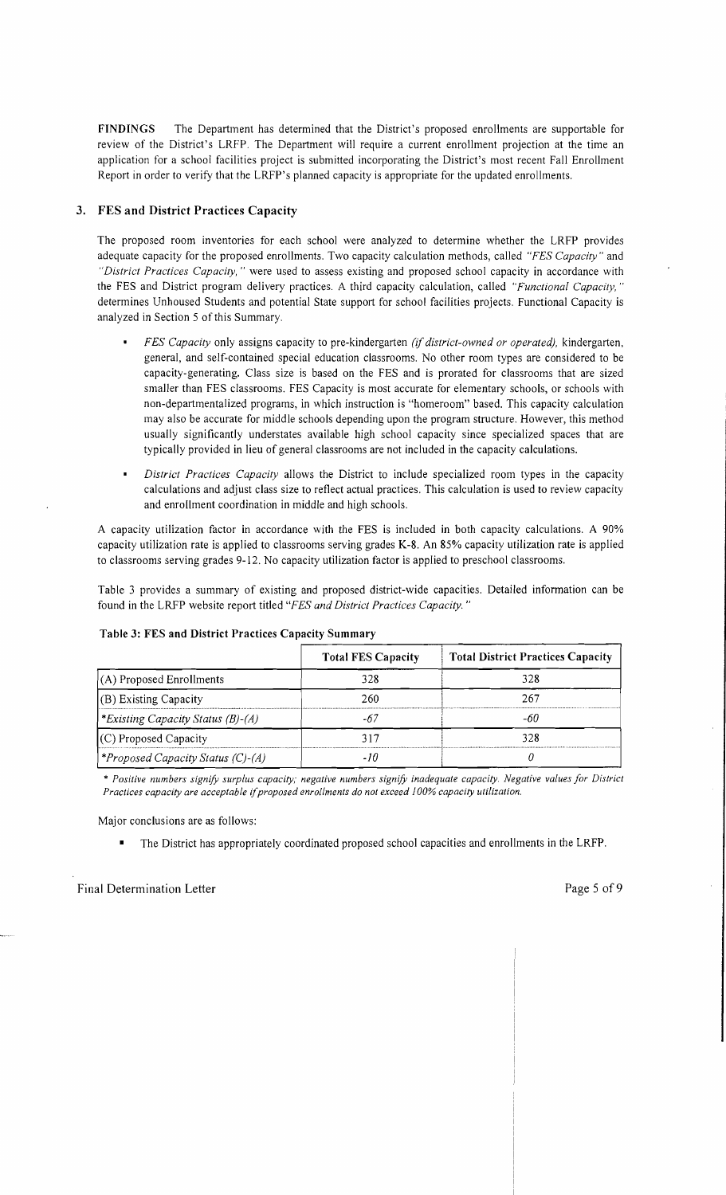FINDINGS The Department has determined that the District's proposed enrollments are supportable for review of the District's LRFP. The Department will require a current enrollment projection at the time an application for a school facilities project is submitted incorporating the District's most recent Fall Enrollment Report in order to verify that the LRFP's planned capacity is appropriate for the updated enrollments.

## 3. FES and District Practices Capacity

The proposed room inventories for each school were analyzed to determine whether the LRFP provides adequate capacity for the proposed enrollments. Two capacity calculation methods, called *"FES Capacity"* and *"District Practices Capacity,* " were used to assess existing and proposed school capacity in accordance with the FES and District program delivery practices. A third capacity calculation, called *"Functional Capacity, "*  determines Unhoused Students and potential State support for school facilities projects. Functional Capacity is analyzed in Section 5 of this Summary.

- *FES Capacity* only assigns capacity to pre-kindergarten *(if district-owned or operated),* kindergarten, general, and self-contained special education classrooms. No other room types are considered to be capacity-generating. Class size is based on the FES and is prorated for classrooms that are sized smaller than FES classrooms. FES Capacity is most accurate for elementary schools, or schools with non-departmentalized programs, in which instruction is "homeroom" based. This capacity calculation may also be accurate for middle schools depending upon the program structure. However, this method usually significantly understates available high school capacity since specialized spaces that are typically provided in lieu of general classrooms are not included in the capacity calculations.
- *District Practices Capacity* allows the District to include specialized room types in the capacity calculations and adjust class size to reflect actual practices. This calculation is used to review capacity and enrollment coordination in middle and high schools.

A capacity utilization factor in accordance with the FES is included in both capacity calculations. A 90% capacity utilization rate is applied to classrooms serving grades K-8. An 85% capacity utilization rate is applied to classrooms serving grades 9-12. No capacity utilization factor is applied to preschool classrooms.

Table 3 provides a summary of existing and proposed district-wide capacities. Detailed information can be found in the LRFP website report titled *"FES and District Practices Capacity. "* 

|                                          | <b>Total FES Capacity</b> | <b>Total District Practices Capacity</b> |  |
|------------------------------------------|---------------------------|------------------------------------------|--|
| $(A)$ Proposed Enrollments               | 328                       | 328                                      |  |
| $(B)$ Existing Capacity                  | 260                       | 767                                      |  |
| <i>*Existing Capacity Status (B)-(A)</i> | $-67$                     | -60                                      |  |
| $(C)$ Proposed Capacity                  | 317                       | 328                                      |  |
| <i>*Proposed Capacity Status (C)-(A)</i> |                           |                                          |  |

#### Table 3: FES and District Practices Capacity Summary

\* *Positive numbers signify surplus capacity; negative numbers signify inadequate capacity. Negative values for District Practices capacity are acceptable ijproposed enrollments do not exceed 100% capacity utilization.* 

Major conclusions are as follows:

• The District has appropriately coordinated proposed school capacities and enrollments in the LRFP.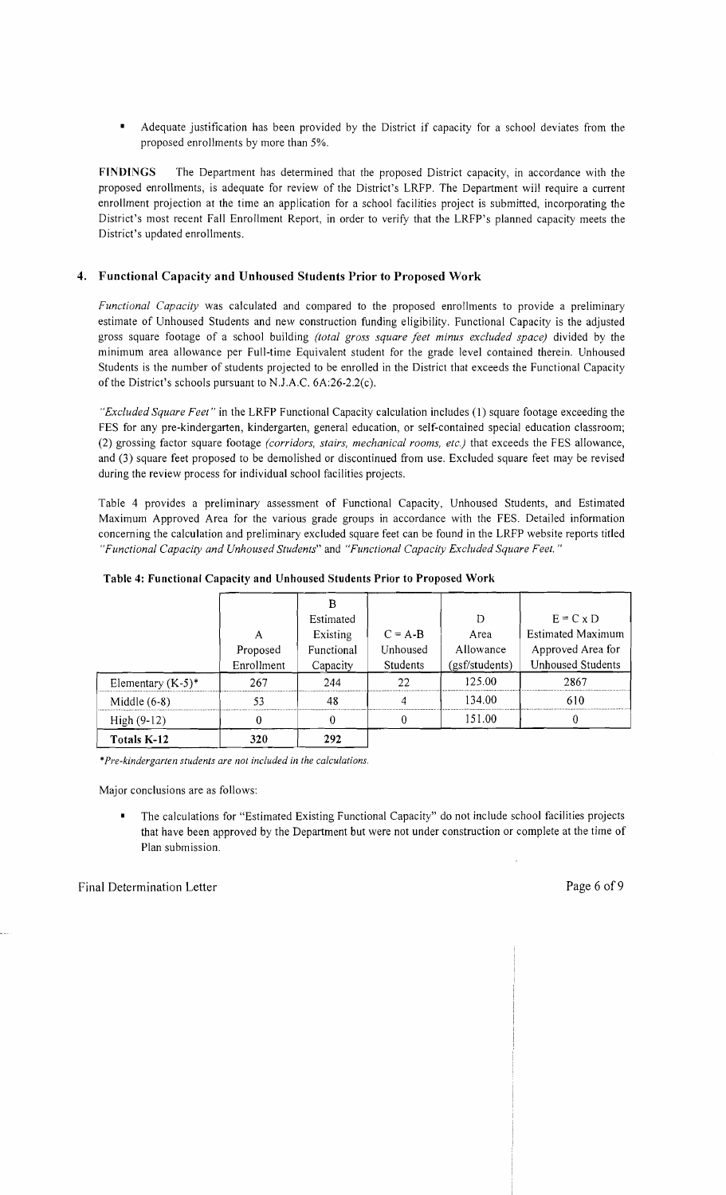• Adequate justification has been provided by the District if capacity for a school deviates from the proposed enrollments by more than 5%.

FINDINGS The Department has determined that the proposed District capacity, in accordance with the proposed enrollments, is adequate for review of the District's LRFP. The Department will require a current enrollment projection at the time an application for a school facilities project is submitted, incorporating the District's most recent Fall Enrollment Report, in order to verify that the LRFP's planned capacity meets the District's updated enrollments.

## 4. Functional Capacity and Unhoused Students Prior to Proposed Work

*Functional Capacity* was calculated and compared to the proposed enrollments to provide a preliminary estimate of Unhoused Students and new construction funding eligibility. Functional Capacity is the adjusted gross square footage of a school building *(total gross square feet minus excluded space)* divided by the minimum area allowance per Full-time Equivalent student for the grade level contained therein. Unhoused Students is the number of students projected to be enrolled in the District that exceeds the Functional Capacity of the District's schools pursuant to N.J.A.C. 6A:26-2.2(c).

*"Excluded Square Feet"* in the LRFP Functional Capacity calculation includes (1) square footage exceeding the FES for any pre-kindergarten, kindergarten, general education, or self-contained special education classroom; (2) grossing factor square footage *(corridors, stairs, mechanical rooms, etc.)* that exceeds the FES allowance, and (3) square feet proposed to be demolished or discontinued from use. Excluded square feet may be revised during the review process for individual school facilities projects.

Table 4 provides a preliminary assessment of Functional Capacity, Unhoused Students, and Estimated Maximum Approved Area for the various grade groups in accordance with the FES. Detailed information concerning the calculation and preliminary excluded square feet can be found in the LRFP website reports titled *"Functional Capacity and Unhoused Students"* and *"Functional Capacity Excluded Square Feet. "* 

| High $(9-12)$        |                        |                        |                       | 151.00            |                                               |
|----------------------|------------------------|------------------------|-----------------------|-------------------|-----------------------------------------------|
| Middle $(6-8)$       | 53                     | 48                     | 4                     | 134.00            | 610                                           |
| Elementary $(K-5)^*$ | 267                    | 244                    | 22                    | 125.00            | 2867                                          |
|                      | Proposed<br>Enrollment | Capacity               | <b>Students</b>       | (gsf/students)    | <b>Unhoused Students</b>                      |
|                      | А                      | Existing<br>Functional | $C = A-B$<br>Unhoused | Area<br>Allowance | <b>Estimated Maximum</b><br>Approved Area for |
|                      |                        | Estimated              |                       | D                 | $E = C \times D$                              |

|  | Table 4: Functional Capacity and Unhoused Students Prior to Proposed Work |  |  |
|--|---------------------------------------------------------------------------|--|--|

\**Pre-kindergarten students are not included in the calculations.* 

Major conclusions are as follows:

• The calculations for "Estimated Existing Functional Capacity" do not include school facilities projects that have been approved by the Department but were not under construction or complete at the time of Plan submission.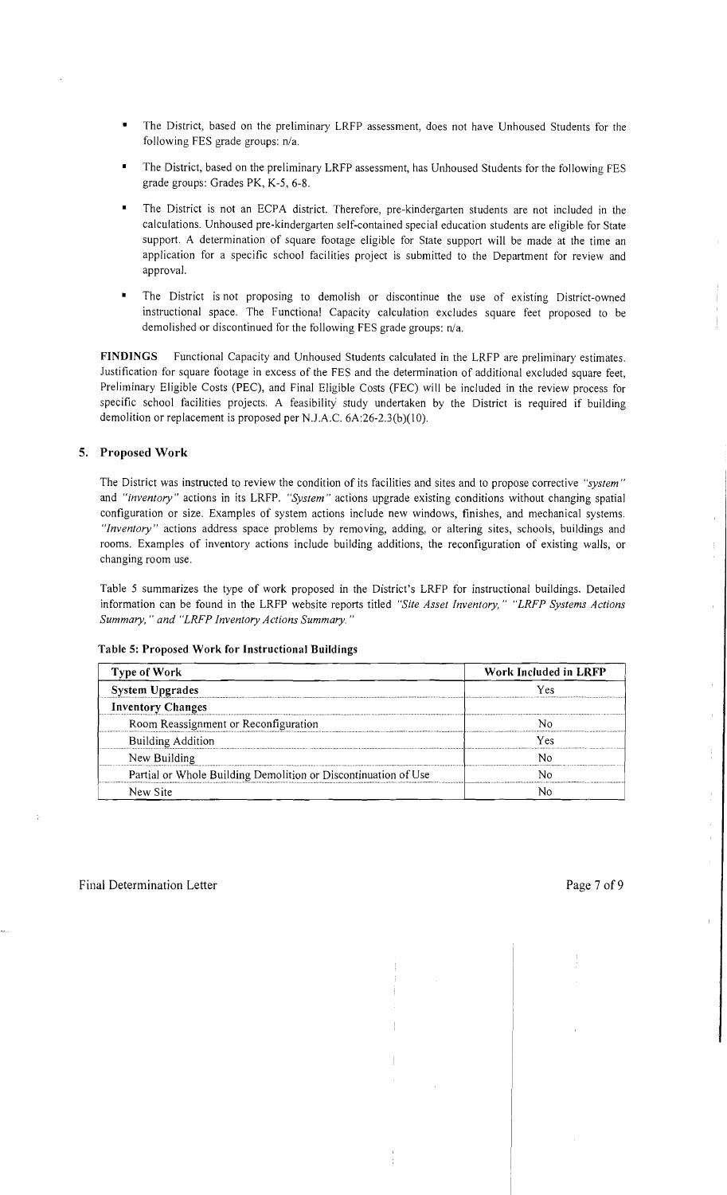- The District, based on the preliminary LRFP assessment, does not have Unhoused Students for the following FES grade groups: n/a.
- The District, based on the preliminary LRFP assessment, has Unhoused Students for the following FES grade groups: Grades PK, K-5, 6-8.
- The District is not an ECPA district. Therefore, pre-kindergarten students are not included in the calculations. Unhoused pre-kindergarten self-contained special education students are eligible for State support. A determination of square footage eligible for State support will be made at the time an application for a specific school facilities project is submitted to the Department for review and approval.
- The District is not proposing to demolish or discontinue the use of existing District-owned instructional space. The Functional Capacity calculation excludes square feet proposed to be demolished or discontinued for the following FES grade groups: n/a.

FINDINGS Functional Capacity and Unhoused Students calculated in the LRFP are preliminary estimates. Justification for square footage in excess of the FES and the determination of additional excluded square feet, Preliminary Eligible Costs (PEC), and Final Eligible Costs (FEC) will be included in the review process for specific school facilities projects. A feasibility study undertaken by the District is required if building demolition or replacement is proposed per N.J.A.C. 6A:26-2.3(b)(10).

## 5. Proposed Work

The District was instructed to review the condition of its facilities and sites and to propose corrective *"system"*  and *"inventory"* actions in its LRFP. *"System"* actions upgrade existing conditions without changing spatial configuration or size. Examples of system actions include new windows, finishes, and mechanical systems. *"Inventory"* actions address space problems by removing, adding, or altering sites, schools, buildings and rooms. Examples of inventory actions include building additions, the reconfiguration of existing walls, or changing room use.

Table 5 summarizes the type of work proposed in the District's LRFP for instructional buildings. Detailed information can be found in the LRFP website reports titled *"Site Asset Inventory," "LRFP Systems Actions Summary,* " *and "LRFP Inventory Actions Summary. "* 

| Type of Work                                                   | Work Included in LRFP |  |  |
|----------------------------------------------------------------|-----------------------|--|--|
| <b>System Upgrades</b>                                         | Υρς                   |  |  |
| <b>Inventory Changes</b>                                       |                       |  |  |
| Room Reassignment or Reconfiguration                           |                       |  |  |
| <b>Building Addition</b>                                       | Yes                   |  |  |
| New Building                                                   |                       |  |  |
| Partial or Whole Building Demolition or Discontinuation of Use |                       |  |  |
| New Site                                                       |                       |  |  |

#### Table 5: Proposed Work for Instructional Buildings

ŧ.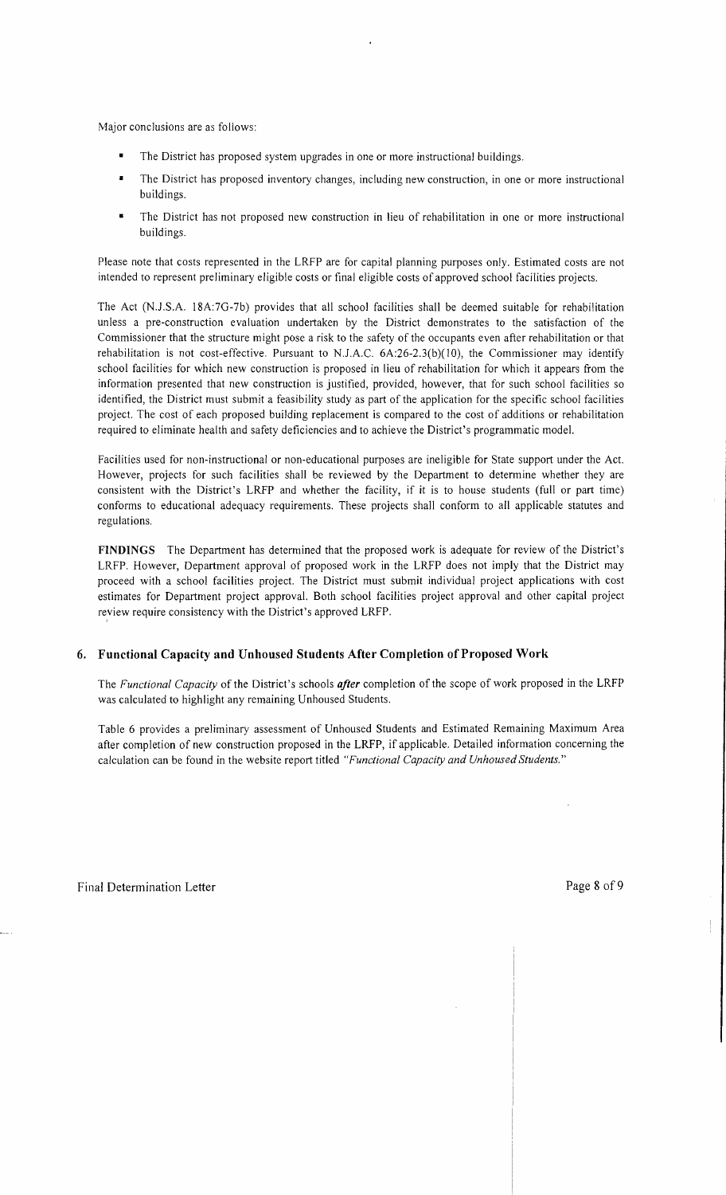Major conclusions are as follows:

- The District has proposed system upgrades in one or more instructional buildings.
- The District has proposed inventory changes, including new construction, in one or more instructional buildings.
- The District has not proposed new construction in lieu of rehabilitation in one or more instructional buildings.

Please note that costs represented in the LRFP are for capital planning purposes only. Estimated costs are not intended to represent preliminary eligible costs or final eligible costs of approved school facilities projects.

The Act (N.J.S.A. 18A:7G-7b) provides that all school facilities shall be deemed suitable for rehabilitation unless a pre-construction evaluation undertaken by the District demonstrates to the satisfaction of the Commissioner that the structure might pose a risk to the safety of the occupants even after rehabilitation or that rehabilitation is not cost-effective. Pursuant to N.J.A.C.  $6A:26-2.3(b)(10)$ , the Commissioner may identify school facilities for which new construction is proposed in lieu of rehabilitation for which it appears from the information presented that new construction is justified, provided, however, that for such school facilities so identified, the District must submit a feasibility study as part of the application for the specific school facilities project. The cost of each proposed building replacement is compared to the cost of additions or rehabilitation required to eliminate health and safety deficiencies and to achieve the District's programmatic model.

Facilities used for non-instructional or non-educational purposes are ineligible for State support under the Act. However, projects for such facilities shall be reviewed by the Department to determine whether they are consistent with the District's LRFP and whether the facility, if it is to house students (full or part time) conforms to educational adequacy requirements. These projects shall conform to all applicable statutes and regulations.

**FINDINGS** The Department has determined that the proposed work is adequate for review of the District's LRFP. However, Department approval of proposed work in the LRFP does not imply that the District may proceed with a school facilities project. The District must submit individual project applications with cost estimates for Department project approval. Both school facilities project approval and other capital project review require consistency with the District's approved LRFP.

## **6. Functional Capacity and Unhoused Students After Completion** of Proposed **Work**

The *Functional Capacity* of the District's schools *after* completion of the scope of work proposed in the LRFP was calculated to highlight any remaining Unhoused Students.

Table 6 provides a preliminary assessment of Unhoused Students and Estimated Remaining Maximum Area after completion of new construction proposed in the LRFP, if applicable. Detailed information concerning the calculation can be found in the website report titled *"Functional Capacity and Unhoused Students."*